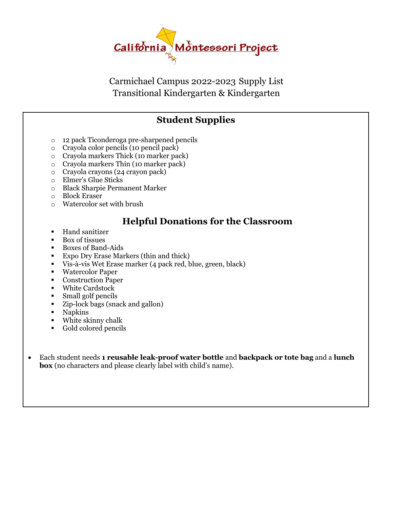

Carmichael Campus 2022-2023 Supply List Transitional Kindergarten & Kindergarten

#### **Student Supplies**

- o 12 pack Ticonderoga pre-sharpened pencils
- o Crayola color pencils (10 pencil pack)
- o Crayola markers Thick (10 marker pack)
- o Crayola markers Thin (10 marker pack)
- o Crayola crayons (24 crayon pack)
- o Elmer's Glue Sticks
- o Black Sharpie Permanent Marker
- o Block Eraser
- o Watercolor set with brush

#### **Helpful Donations for the Classroom**

- Hand sanitizer
- Box of tissues
- Boxes of Band-Aids
- Expo Dry Erase Markers (thin and thick)
- Vis-à-vis Wet Erase marker (4 pack red, blue, green, black)
- Watercolor Paper
- Construction Paper
- White Cardstock
- Small golf pencils
- Zip-lock bags (snack and gallon)
- Napkins
- White skinny chalk
- Gold colored pencils
- Each student needs **1 reusable leak-proof water bottle** and **backpack or tote bag** and a **lunch box** (no characters and please clearly label with child's name).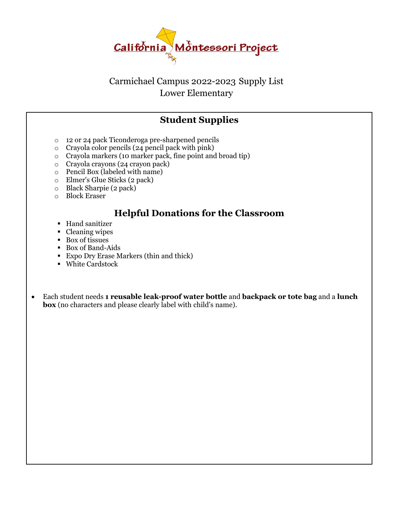

#### Carmichael Campus 2022-2023 Supply List Lower Elementary

#### **Student Supplies**

- o 12 or 24 pack Ticonderoga pre-sharpened pencils
- o Crayola color pencils (24 pencil pack with pink)
- o Crayola markers (10 marker pack, fine point and broad tip)
- o Crayola crayons (24 crayon pack)
- o Pencil Box (labeled with name)
- o Elmer's Glue Sticks (2 pack)
- o Black Sharpie (2 pack)
- o Block Eraser

#### **Helpful Donations for the Classroom**

- Hand sanitizer
- Cleaning wipes
- Box of tissues
- Box of Band-Aids
- Expo Dry Erase Markers (thin and thick)
- White Cardstock
- Each student needs **1 reusable leak-proof water bottle** and **backpack or tote bag** and a **lunch box** (no characters and please clearly label with child's name).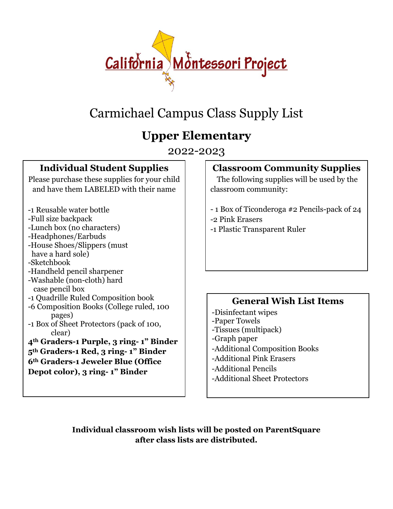

## Carmichael Campus Class Supply List

### **Upper Elementary**

2022-2023

#### **Individual Student Supplies**

Please purchase these supplies for your child and have them LABELED with their name

- -1 Reusable water bottle
- -Full size backpack
- -Lunch box (no characters)
- -Headphones/Earbuds
- -House Shoes/Slippers (must have a hard sole)
- -Sketchbook
- -Handheld pencil sharpener
- -Washable (non-cloth) hard case pencil box
- -1 Quadrille Ruled Composition book
- -6 Composition Books (College ruled, 100 pages)
- -1 Box of Sheet Protectors (pack of 100, clear)

#### **4th Graders-1 Purple, 3 ring- 1" Binder 5th Graders-1 Red, 3 ring- 1" Binder 6th Graders-1 Jeweler Blue (Office Depot color), 3 ring- 1" Binder**

#### **Classroom Community Supplies**

 The following supplies will be used by the classroom community:

- 1 Box of Ticonderoga #2 Pencils-pack of 24
- -2 Pink Erasers
- -1 Plastic Transparent Ruler

#### **General Wish List Items**

- -Disinfectant wipes -Paper Towels
- -Tissues (multipack)
- -Graph paper
- -Additional Composition Books
- -Additional Pink Erasers
- -Additional Pencils
- -Additional Sheet Protectors

**Individual classroom wish lists will be posted on ParentSquare after class lists are distributed.**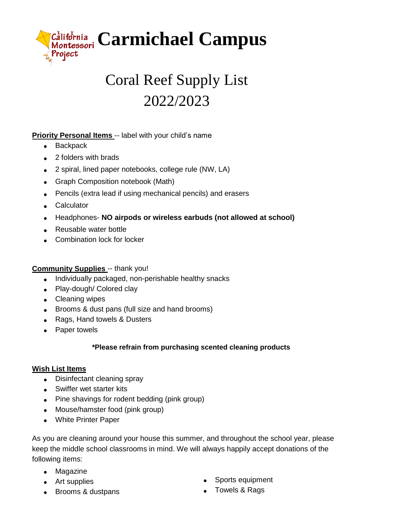

# Coral Reef Supply List 2022/2023

#### **Priority Personal Items -- label with your child's name**

- Backpack
- 2 folders with brads
- 2 spiral, lined paper notebooks, college rule (NW, LA)
- Graph Composition notebook (Math)
- Pencils (extra lead if using mechanical pencils) and erasers
- Calculator
- Headphones- **NO airpods or wireless earbuds (not allowed at school)**
- Reusable water bottle
- Combination lock for locker

#### **Community Supplies** -- thank you!

- Individually packaged, non-perishable healthy snacks
- Play-dough/ Colored clay
- Cleaning wipes
- Brooms & dust pans (full size and hand brooms)
- Rags, Hand towels & Dusters
- Paper towels

#### **\*Please refrain from purchasing scented cleaning products**

#### **Wish List Items**

- Disinfectant cleaning spray
- Swiffer wet starter kits
- Pine shavings for rodent bedding (pink group)
- Mouse/hamster food (pink group)
- White Printer Paper

As you are cleaning around your house this summer, and throughout the school year, please keep the middle school classrooms in mind. We will always happily accept donations of the following items:

- Magazine
- Art supplies
- Brooms & dustpans
- Sports equipment
- Towels & Rags